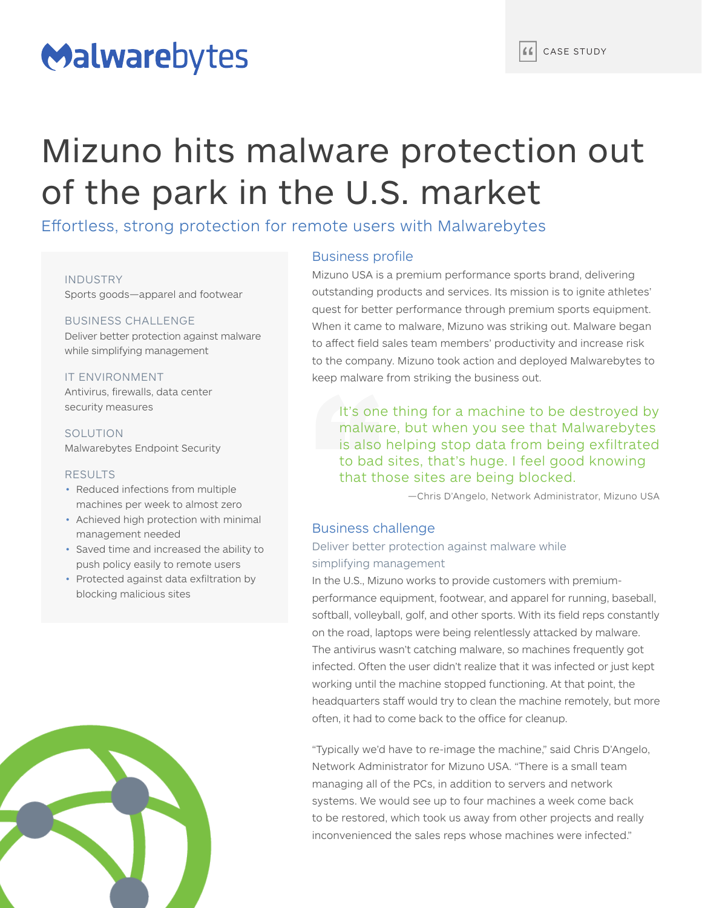# Malwarebytes

# Mizuno hits malware protection out of the park in the U.S. market

Effortless, strong protection for remote users with Malwarebytes

#### INDUSTRY

Sports goods—apparel and footwear

#### BUSINESS CHALLENGE Deliver better protection against malware

while simplifying management

#### IT ENVIRONMENT

Antivirus, firewalls, data center security measures

SOLUTION Malwarebytes Endpoint Security

#### RESULTS

- Reduced infections from multiple machines per week to almost zero
- Achieved high protection with minimal management needed
- Saved time and increased the ability to push policy easily to remote users
- Protected against data exfiltration by blocking malicious sites



#### Business profile

Mizuno USA is a premium performance sports brand, delivering outstanding products and services. Its mission is to ignite athletes' quest for better performance through premium sports equipment. When it came to malware, Mizuno was striking out. Malware began to affect field sales team members' productivity and increase risk to the company. Mizuno took action and deployed Malwarebytes to keep malware from striking the business out.

It's one thing for a machine to be destroyed by malware, but when you see that Malwarebytes is also helping stop data from being exfiltrated to bad sites, that's huge. I feel good knowing that those sites are being blocked.

—Chris D'Angelo, Network Administrator, Mizuno USA

#### Business challenge

## Deliver better protection against malware while simplifying management

In the U.S., Mizuno works to provide customers with premiumperformance equipment, footwear, and apparel for running, baseball, softball, volleyball, golf, and other sports. With its field reps constantly on the road, laptops were being relentlessly attacked by malware. The antivirus wasn't catching malware, so machines frequently got infected. Often the user didn't realize that it was infected or just kept working until the machine stopped functioning. At that point, the headquarters staff would try to clean the machine remotely, but more often, it had to come back to the office for cleanup.

"Typically we'd have to re-image the machine," said Chris D'Angelo, Network Administrator for Mizuno USA. "There is a small team managing all of the PCs, in addition to servers and network systems. We would see up to four machines a week come back to be restored, which took us away from other projects and really inconvenienced the sales reps whose machines were infected."